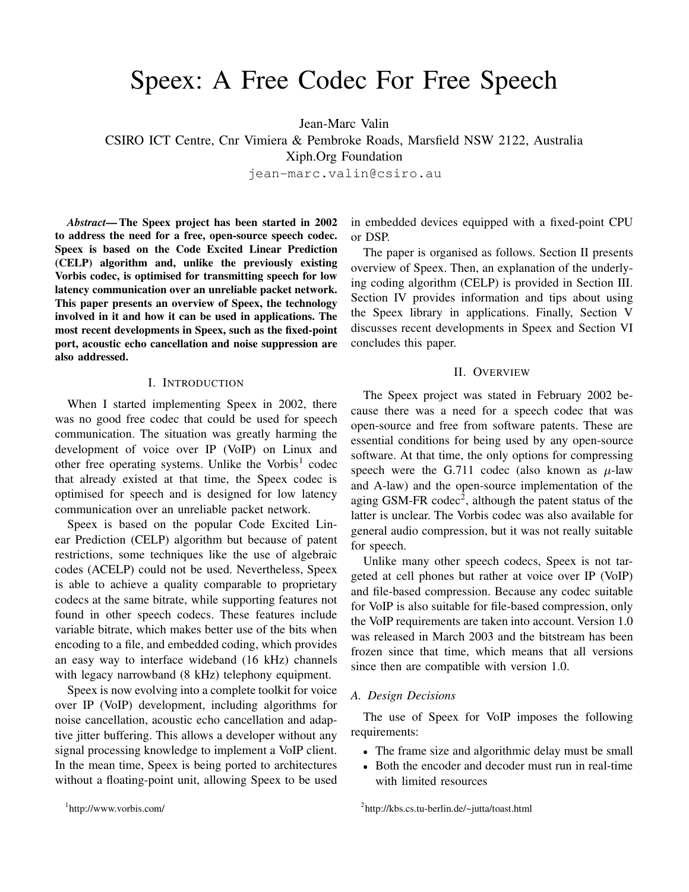# Speex: A Free Codec For Free Speech

Jean-Marc Valin

CSIRO ICT Centre, Cnr Vimiera & Pembroke Roads, Marsfield NSW 2122, Australia

Xiph.Org Foundation

jean-marc.valin@csiro.au

*Abstract***— The Speex project has been started in 2002 to address the need for a free, open-source speech codec. Speex is based on the Code Excited Linear Prediction (CELP) algorithm and, unlike the previously existing Vorbis codec, is optimised for transmitting speech for low latency communication over an unreliable packet network. This paper presents an overview of Speex, the technology involved in it and how it can be used in applications. The most recent developments in Speex, such as the fixed-point port, acoustic echo cancellation and noise suppression are also addressed.**

#### I. INTRODUCTION

When I started implementing Speex in 2002, there was no good free codec that could be used for speech communication. The situation was greatly harming the development of voice over IP (VoIP) on Linux and other free operating systems. Unlike the Vorbis<sup>1</sup> codec that already existed at that time, the Speex codec is optimised for speech and is designed for low latency communication over an unreliable packet network.

Speex is based on the popular Code Excited Linear Prediction (CELP) algorithm but because of patent restrictions, some techniques like the use of algebraic codes (ACELP) could not be used. Nevertheless, Speex is able to achieve a quality comparable to proprietary codecs at the same bitrate, while supporting features not found in other speech codecs. These features include variable bitrate, which makes better use of the bits when encoding to a file, and embedded coding, which provides an easy way to interface wideband (16 kHz) channels with legacy narrowband (8 kHz) telephony equipment.

Speex is now evolving into a complete toolkit for voice over IP (VoIP) development, including algorithms for noise cancellation, acoustic echo cancellation and adaptive jitter buffering. This allows a developer without any signal processing knowledge to implement a VoIP client. In the mean time, Speex is being ported to architectures without a floating-point unit, allowing Speex to be used

in embedded devices equipped with a fixed-point CPU or DSP.

The paper is organised as follows. Section II presents overview of Speex. Then, an explanation of the underlying coding algorithm (CELP) is provided in Section III. Section IV provides information and tips about using the Speex library in applications. Finally, Section V discusses recent developments in Speex and Section VI concludes this paper.

# II. OVERVIEW

The Speex project was stated in February 2002 because there was a need for a speech codec that was open-source and free from software patents. These are essential conditions for being used by any open-source software. At that time, the only options for compressing speech were the G.711 codec (also known as  $\mu$ -law and A-law) and the open-source implementation of the aging GSM-FR codec<sup>2</sup>, although the patent status of the latter is unclear. The Vorbis codec was also available for general audio compression, but it was not really suitable for speech.

Unlike many other speech codecs, Speex is not targeted at cell phones but rather at voice over IP (VoIP) and file-based compression. Because any codec suitable for VoIP is also suitable for file-based compression, only the VoIP requirements are taken into account. Version 1.0 was released in March 2003 and the bitstream has been frozen since that time, which means that all versions since then are compatible with version 1.0.

#### *A. Design Decisions*

The use of Speex for VoIP imposes the following requirements:

- The frame size and algorithmic delay must be small
- Both the encoder and decoder must run in real-time with limited resources

<sup>2</sup> http://kbs.cs.tu-berlin.de/~jutta/toast.html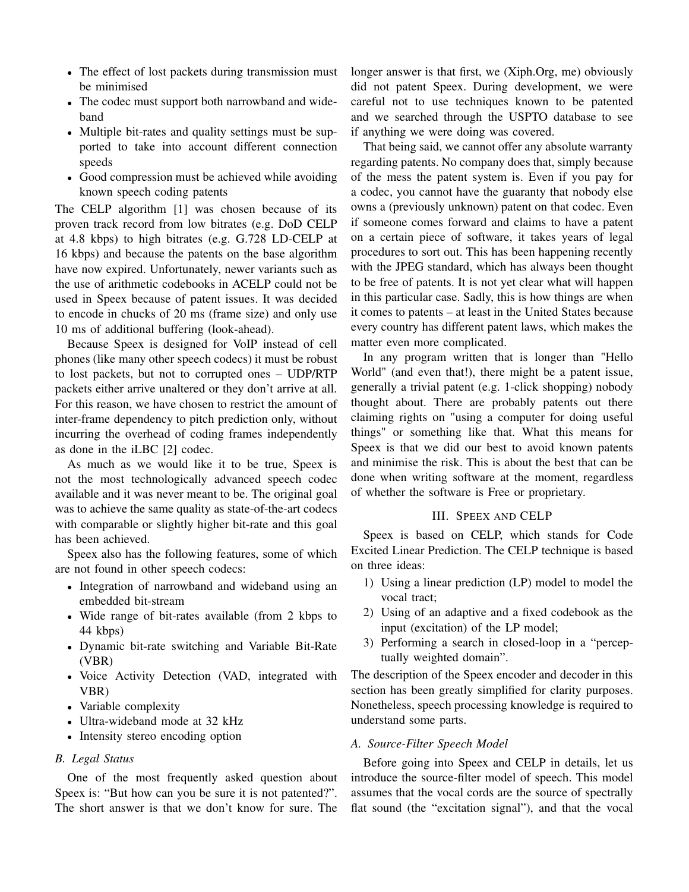- The effect of lost packets during transmission must be minimised
- The codec must support both narrowband and wideband
- Multiple bit-rates and quality settings must be supported to take into account different connection speeds
- Good compression must be achieved while avoiding known speech coding patents

The CELP algorithm [1] was chosen because of its proven track record from low bitrates (e.g. DoD CELP at 4.8 kbps) to high bitrates (e.g. G.728 LD-CELP at 16 kbps) and because the patents on the base algorithm have now expired. Unfortunately, newer variants such as the use of arithmetic codebooks in ACELP could not be used in Speex because of patent issues. It was decided to encode in chucks of 20 ms (frame size) and only use 10 ms of additional buffering (look-ahead).

Because Speex is designed for VoIP instead of cell phones (like many other speech codecs) it must be robust to lost packets, but not to corrupted ones – UDP/RTP packets either arrive unaltered or they don't arrive at all. For this reason, we have chosen to restrict the amount of inter-frame dependency to pitch prediction only, without incurring the overhead of coding frames independently as done in the iLBC [2] codec.

As much as we would like it to be true, Speex is not the most technologically advanced speech codec available and it was never meant to be. The original goal was to achieve the same quality as state-of-the-art codecs with comparable or slightly higher bit-rate and this goal has been achieved.

Speex also has the following features, some of which are not found in other speech codecs:

- Integration of narrowband and wideband using an embedded bit-stream
- Wide range of bit-rates available (from 2 kbps to 44 kbps)
- Dynamic bit-rate switching and Variable Bit-Rate (VBR)
- Voice Activity Detection (VAD, integrated with VBR)
- Variable complexity
- Ultra-wideband mode at 32 kHz
- Intensity stereo encoding option

## *B. Legal Status*

One of the most frequently asked question about Speex is: "But how can you be sure it is not patented?". The short answer is that we don't know for sure. The longer answer is that first, we (Xiph.Org, me) obviously did not patent Speex. During development, we were careful not to use techniques known to be patented and we searched through the USPTO database to see if anything we were doing was covered.

That being said, we cannot offer any absolute warranty regarding patents. No company does that, simply because of the mess the patent system is. Even if you pay for a codec, you cannot have the guaranty that nobody else owns a (previously unknown) patent on that codec. Even if someone comes forward and claims to have a patent on a certain piece of software, it takes years of legal procedures to sort out. This has been happening recently with the JPEG standard, which has always been thought to be free of patents. It is not yet clear what will happen in this particular case. Sadly, this is how things are when it comes to patents – at least in the United States because every country has different patent laws, which makes the matter even more complicated.

In any program written that is longer than "Hello World" (and even that!), there might be a patent issue, generally a trivial patent (e.g. 1-click shopping) nobody thought about. There are probably patents out there claiming rights on "using a computer for doing useful things" or something like that. What this means for Speex is that we did our best to avoid known patents and minimise the risk. This is about the best that can be done when writing software at the moment, regardless of whether the software is Free or proprietary.

#### III. SPEEX AND CELP

Speex is based on CELP, which stands for Code Excited Linear Prediction. The CELP technique is based on three ideas:

- 1) Using a linear prediction (LP) model to model the vocal tract;
- 2) Using of an adaptive and a fixed codebook as the input (excitation) of the LP model;
- 3) Performing a search in closed-loop in a "perceptually weighted domain".

The description of the Speex encoder and decoder in this section has been greatly simplified for clarity purposes. Nonetheless, speech processing knowledge is required to understand some parts.

## *A. Source-Filter Speech Model*

Before going into Speex and CELP in details, let us introduce the source-filter model of speech. This model assumes that the vocal cords are the source of spectrally flat sound (the "excitation signal"), and that the vocal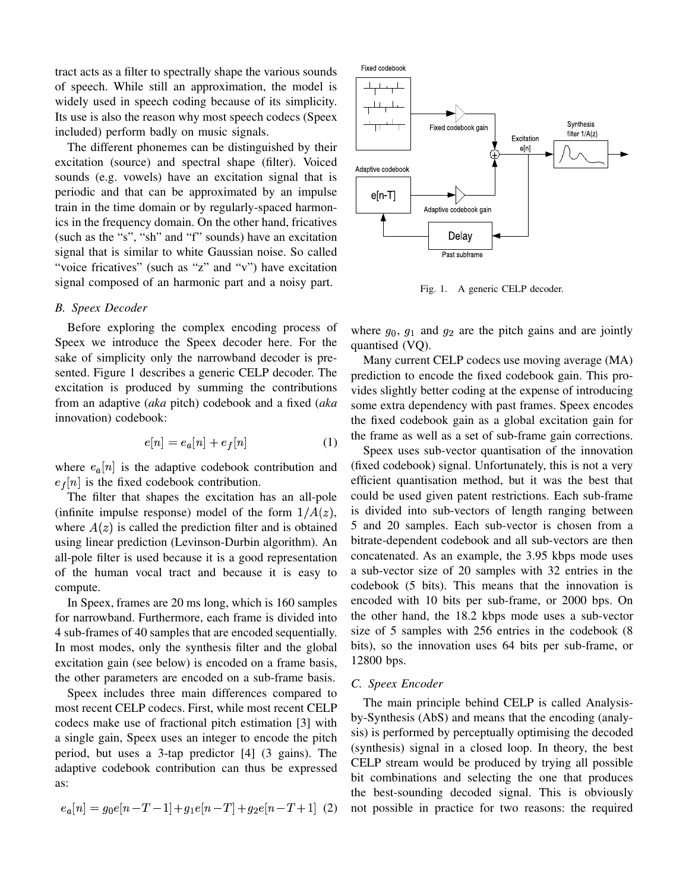tract acts as a filter to spectrally shape the various sounds of speech. While still an approximation, the model is widely used in speech coding because of its simplicity. Its use is also the reason why most speech codecs (Speex included) perform badly on music signals.

The different phonemes can be distinguished by their excitation (source) and spectral shape (filter). Voiced sounds (e.g. vowels) have an excitation signal that is periodic and that can be approximated by an impulse train in the time domain or by regularly-spaced harmonics in the frequency domain. On the other hand, fricatives (such as the "s", "sh" and "f" sounds) have an excitation signal that is similar to white Gaussian noise. So called "voice fricatives" (such as "z" and "v") have excitation signal composed of an harmonic part and a noisy part.

#### *B. Speex Decoder*

Before exploring the complex encoding process of Speex we introduce the Speex decoder here. For the sake of simplicity only the narrowband decoder is presented. Figure 1 describes a generic CELP decoder. The excitation is produced by summing the contributions from an adaptive (*aka* pitch) codebook and a fixed (*aka* innovation) codebook:

$$
e[n] = e_a[n] + e_f[n] \tag{1}
$$

where  $e_a[n]$  is the adaptive codebook contribution and  $e_f[n]$  is the fixed codebook contribution.

The filter that shapes the excitation has an all-pole (infinite impulse response) model of the form  $1/A(z)$ , where  $A(z)$  is called the prediction filter and is obtained using linear prediction (Levinson-Durbin algorithm). An all-pole filter is used because it is a good representation of the human vocal tract and because it is easy to compute.

In Speex, frames are 20 ms long, which is 160 samples for narrowband. Furthermore, each frame is divided into 4 sub-frames of 40 samples that are encoded sequentially. In most modes, only the synthesis filter and the global excitation gain (see below) is encoded on a frame basis, the other parameters are encoded on a sub-frame basis.

Speex includes three main differences compared to most recent CELP codecs. First, while most recent CELP codecs make use of fractional pitch estimation [3] with a single gain, Speex uses an integer to encode the pitch period, but uses a 3-tap predictor [4] (3 gains). The adaptive codebook contribution can thus be expressed as:

$$
e_a[n] = g_0e[n - T - 1] + g_1e[n - T] + g_2e[n - T + 1]
$$
 (2)



Fig. 1. A generic CELP decoder.

where  $g_0$ ,  $g_1$  and  $g_2$  are the pitch gains and are jointly quantised (VQ).

Many current CELP codecs use moving average (MA) prediction to encode the fixed codebook gain. This provides slightly better coding at the expense of introducing some extra dependency with past frames. Speex encodes the fixed codebook gain as a global excitation gain for the frame as well as a set of sub-frame gain corrections.

Speex uses sub-vector quantisation of the innovation (fixed codebook) signal. Unfortunately, this is not a very efficient quantisation method, but it was the best that could be used given patent restrictions. Each sub-frame is divided into sub-vectors of length ranging between 5 and 20 samples. Each sub-vector is chosen from a bitrate-dependent codebook and all sub-vectors are then concatenated. As an example, the 3.95 kbps mode uses a sub-vector size of 20 samples with 32 entries in the codebook (5 bits). This means that the innovation is encoded with 10 bits per sub-frame, or 2000 bps. On the other hand, the 18.2 kbps mode uses a sub-vector size of 5 samples with 256 entries in the codebook (8 bits), so the innovation uses 64 bits per sub-frame, or 12800 bps.

#### *C. Speex Encoder*

 $e[n-T+1]$  (2) not possible in practice for two reasons: the required The main principle behind CELP is called Analysisby-Synthesis (AbS) and means that the encoding (analysis) is performed by perceptually optimising the decoded (synthesis) signal in a closed loop. In theory, the best CELP stream would be produced by trying all possible bit combinations and selecting the one that produces the best-sounding decoded signal. This is obviously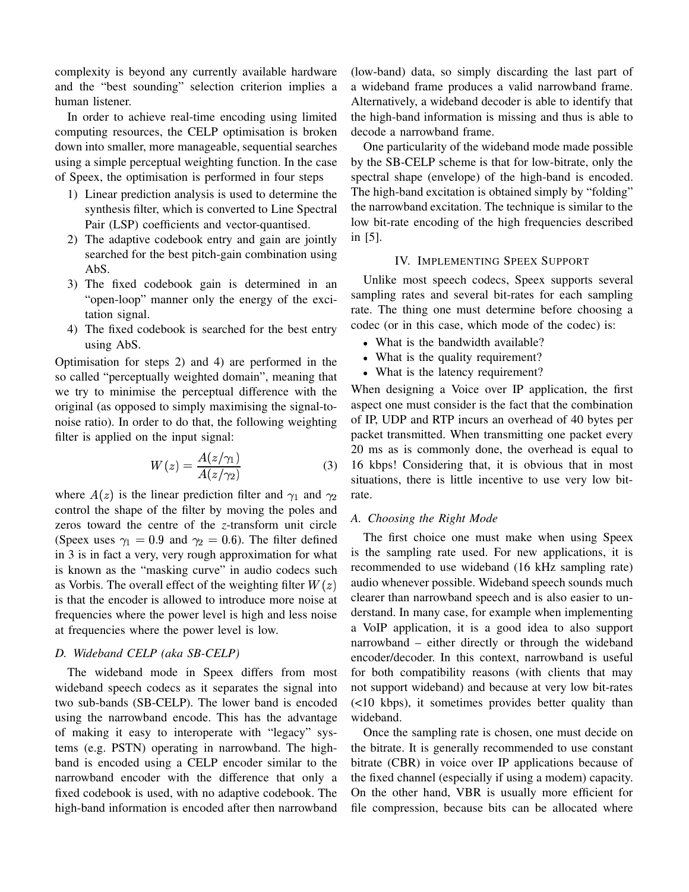complexity is beyond any currently available hardware and the "best sounding" selection criterion implies a human listener.

In order to achieve real-time encoding using limited computing resources, the CELP optimisation is broken down into smaller, more manageable, sequential searches using a simple perceptual weighting function. In the case of Speex, the optimisation is performed in four steps

- 1) Linear prediction analysis is used to determine the synthesis filter, which is converted to Line Spectral Pair (LSP) coefficients and vector-quantised.
- 2) The adaptive codebook entry and gain are jointly searched for the best pitch-gain combination using AbS.
- 3) The fixed codebook gain is determined in an "open-loop" manner only the energy of the excitation signal.
- 4) The fixed codebook is searched for the best entry using AbS.

Optimisation for steps 2) and 4) are performed in the so called "perceptually weighted domain", meaning that we try to minimise the perceptual difference with the original (as opposed to simply maximising the signal-tonoise ratio). In order to do that, the following weighting filter is applied on the input signal:

$$
W(z) = \frac{A(z/\gamma_1)}{A(z/\gamma_2)}\tag{3}
$$

where  $A(z)$  is the linear prediction filter and  $\gamma_1$  and  $\gamma_2$  rate. control the shape of the filter by moving the poles and zeros toward the centre of the *z*-transform unit circle (Speex uses  $\gamma_1 = 0.9$  and  $\gamma_2 = 0.6$ ). The filter defined in 3 is in fact a very, very rough approximation for what is known as the "masking curve" in audio codecs such as Vorbis. The overall effect of the weighting filter  $W(z)$  audio whenever is that the encoder is allowed to introduce more noise at frequencies where the power level is high and less noise at frequencies where the power level is low.

## *D. Wideband CELP (aka SB-CELP)*

The wideband mode in Speex differs from most wideband speech codecs as it separates the signal into two sub-bands (SB-CELP). The lower band is encoded using the narrowband encode. This has the advantage of making it easy to interoperate with "legacy" systems (e.g. PSTN) operating in narrowband. The highband is encoded using a CELP encoder similar to the narrowband encoder with the difference that only a fixed codebook is used, with no adaptive codebook. The high-band information is encoded after then narrowband (low-band) data, so simply discarding the last part of a wideband frame produces a valid narrowband frame. Alternatively, a wideband decoder is able to identify that the high-band information is missing and thus is able to decode a narrowband frame.

One particularity of the wideband mode made possible by the SB-CELP scheme is that for low-bitrate, only the spectral shape (envelope) of the high-band is encoded. The high-band excitation is obtained simply by "folding" the narrowband excitation. The technique is similar to the low bit-rate encoding of the high frequencies described in [5].

## IV. IMPLEMENTING SPEEX SUPPORT

Unlike most speech codecs, Speex supports several sampling rates and several bit-rates for each sampling rate. The thing one must determine before choosing a codec (or in this case, which mode of the codec) is:

- What is the bandwidth available?
- What is the quality requirement?
- What is the latency requirement?

 $2$  rate. When designing a Voice over IP application, the first aspect one must consider is the fact that the combination of IP, UDP and RTP incurs an overhead of 40 bytes per packet transmitted. When transmitting one packet every 20 ms as is commonly done, the overhead is equal to 16 kbps! Considering that, it is obvious that in most situations, there is little incentive to use very low bit-

#### *A. Choosing the Right Mode*

The first choice one must make when using Speex is the sampling rate used. For new applications, it is recommended to use wideband (16 kHz sampling rate) audio whenever possible. Wideband speech sounds much clearer than narrowband speech and is also easier to understand. In many case, for example when implementing a VoIP application, it is a good idea to also support narrowband – either directly or through the wideband encoder/decoder. In this context, narrowband is useful for both compatibility reasons (with clients that may not support wideband) and because at very low bit-rates (<10 kbps), it sometimes provides better quality than wideband.

Once the sampling rate is chosen, one must decide on the bitrate. It is generally recommended to use constant bitrate (CBR) in voice over IP applications because of the fixed channel (especially if using a modem) capacity. On the other hand, VBR is usually more efficient for file compression, because bits can be allocated where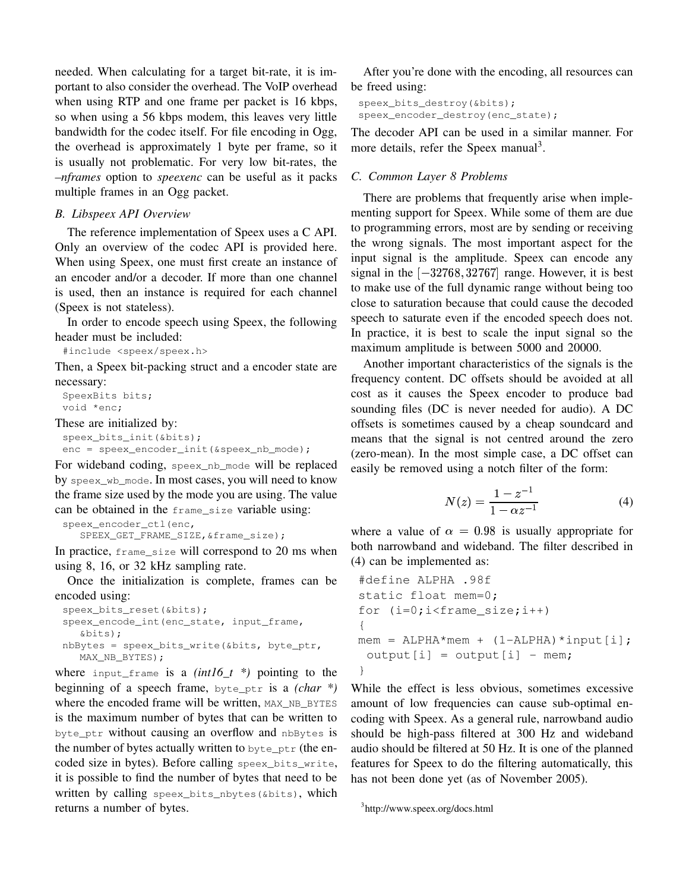needed. When calculating for a target bit-rate, it is important to also consider the overhead. The VoIP overhead when using RTP and one frame per packet is 16 kbps, so when using a 56 kbps modem, this leaves very little bandwidth for the codec itself. For file encoding in Ogg, the overhead is approximately 1 byte per frame, so it is usually not problematic. For very low bit-rates, the *–nframes* option to *speexenc* can be useful as it packs multiple frames in an Ogg packet.

## *B. Libspeex API Overview*

The reference implementation of Speex uses a C API. Only an overview of the codec API is provided here. When using Speex, one must first create an instance of an encoder and/or a decoder. If more than one channel is used, then an instance is required for each channel (Speex is not stateless).

In order to encode speech using Speex, the following header must be included:

#include <speex/speex.h>

Then, a Speex bit-packing struct and a encoder state are necessary:

SpeexBits bits; void \*enc;

These are initialized by:

```
speex_bits_init(&bits);
enc = speex encoder init(&speex nb mode);
```
For wideband coding, speex\_nb\_mode will be replaced by speex\_wb\_mode. In most cases, you will need to know the frame size used by the mode you are using. The value can be obtained in the frame\_size variable using:

```
speex_encoder_ctl(enc,
  SPEEX_GET_FRAME_SIZE,&frame_size);
```
In practice, frame\_size will correspond to 20 ms when using 8, 16, or 32 kHz sampling rate.

Once the initialization is complete, frames can be encoded using:

```
speex_bits_reset(&bits);
speex_encode_int(enc_state, input_frame,
   &bits);
nbBytes = speex_bits_write(&bits, byte_ptr,
  MAX_NB_BYTES);
```
where input\_frame is a  $(int16_t * )$  pointing to the beginning of a speech frame, byte\_ptr is a *(char \*)* where the encoded frame will be written, MAX\_NB\_BYTES is the maximum number of bytes that can be written to byte\_ptr without causing an overflow and nbBytes is the number of bytes actually written to byte\_ptr (the encoded size in bytes). Before calling speex\_bits\_write, it is possible to find the number of bytes that need to be written by calling speex\_bits\_nbytes(&bits), which returns a number of bytes.

After you're done with the encoding, all resources can be freed using:

```
speex_bits_destroy(&bits);
speex_encoder_destroy(enc_state);
```
The decoder API can be used in a similar manner. For more details, refer the Speex manual<sup>3</sup>.

# *C. Common Layer 8 Problems*

There are problems that frequently arise when implementing support for Speex. While some of them are due to programming errors, most are by sending or receiving the wrong signals. The most important aspect for the input signal is the amplitude. Speex can encode any signal in the  $[-32768, 32767]$  range. However, it is best to make use of the full dynamic range without being too close to saturation because that could cause the decoded speech to saturate even if the encoded speech does not. In practice, it is best to scale the input signal so the maximum amplitude is between 5000 and 20000.

Another important characteristics of the signals is the frequency content. DC offsets should be avoided at all cost as it causes the Speex encoder to produce bad sounding files (DC is never needed for audio). A DC offsets is sometimes caused by a cheap soundcard and means that the signal is not centred around the zero (zero-mean). In the most simple case, a DC offset can easily be removed using a notch filter of the form:

$$
N(z) = \frac{1 - z^{-1}}{1 - \alpha z^{-1}}\tag{4}
$$

where a value of  $\alpha = 0.98$  is usually appropriate for both narrowband and wideband. The filter described in (4) can be implemented as:

```
#define ALPHA .98f
static float mem=0;
for (i=0; i < f rame_size;i++){
mem = ALPHA*mem + (1 - ALPHA)*input[i];output[i] = output[i] - mem;}
```
While the effect is less obvious, sometimes excessive amount of low frequencies can cause sub-optimal encoding with Speex. As a general rule, narrowband audio should be high-pass filtered at 300 Hz and wideband audio should be filtered at 50 Hz. It is one of the planned features for Speex to do the filtering automatically, this has not been done yet (as of November 2005).

```
3
http://www.speex.org/docs.html
```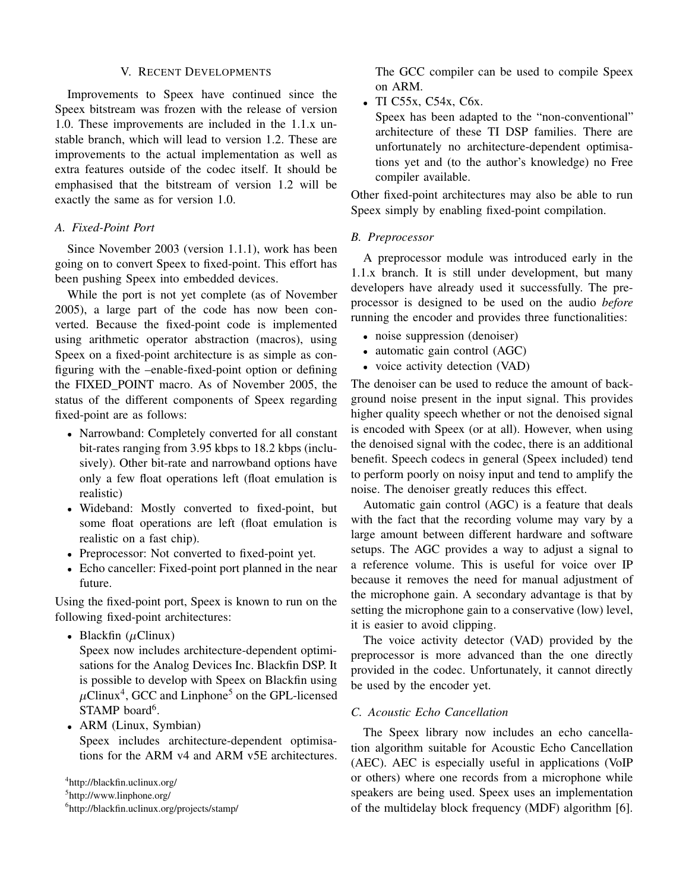# V. RECENT DEVELOPMENTS

Improvements to Speex have continued since the Speex bitstream was frozen with the release of version 1.0. These improvements are included in the 1.1.x unstable branch, which will lead to version 1.2. These are improvements to the actual implementation as well as extra features outside of the codec itself. It should be emphasised that the bitstream of version 1.2 will be exactly the same as for version 1.0.

# *A. Fixed-Point Port*

Since November 2003 (version 1.1.1), work has been going on to convert Speex to fixed-point. This effort has been pushing Speex into embedded devices.

While the port is not yet complete (as of November 2005), a large part of the code has now been converted. Because the fixed-point code is implemented using arithmetic operator abstraction (macros), using Speex on a fixed-point architecture is as simple as configuring with the –enable-fixed-point option or defining the FIXED\_POINT macro. As of November 2005, the status of the different components of Speex regarding fixed-point are as follows:

- Narrowband: Completely converted for all constant bit-rates ranging from 3.95 kbps to 18.2 kbps (inclusively). Other bit-rate and narrowband options have only a few float operations left (float emulation is realistic)
- Wideband: Mostly converted to fixed-point, but some float operations are left (float emulation is realistic on a fast chip).
- Preprocessor: Not converted to fixed-point yet.
- Echo canceller: Fixed-point port planned in the near future.

Using the fixed-point port, Speex is known to run on the following fixed-point architectures:

• Blackfin  $(\mu \text{Clinux})$ 

Speex now includes architecture-dependent optimisations for the Analog Devices Inc. Blackfin DSP. It is possible to develop with Speex on Blackfin using  $\mu$ Clinux<sup>4</sup>, GCC and Linphone<sup>5</sup> on the GPL-licensed STAMP board<sup>6</sup>.

 ARM (Linux, Symbian) Speex includes architecture-dependent optimisations for the ARM v4 and ARM v5E architectures.

4 http://blackfin.uclinux.org/

<sup>5</sup>http://www.linphone.org/

6 http://blackfin.uclinux.org/projects/stamp/

The GCC compiler can be used to compile Speex on ARM.

TI C55x, C54x, C6x.

Speex has been adapted to the "non-conventional" architecture of these TI DSP families. There are unfortunately no architecture-dependent optimisations yet and (to the author's knowledge) no Free compiler available.

Other fixed-point architectures may also be able to run Speex simply by enabling fixed-point compilation.

## *B. Preprocessor*

A preprocessor module was introduced early in the 1.1.x branch. It is still under development, but many developers have already used it successfully. The preprocessor is designed to be used on the audio *before* running the encoder and provides three functionalities:

- noise suppression (denoiser)
- automatic gain control (AGC)
- voice activity detection (VAD)

The denoiser can be used to reduce the amount of background noise present in the input signal. This provides higher quality speech whether or not the denoised signal is encoded with Speex (or at all). However, when using the denoised signal with the codec, there is an additional benefit. Speech codecs in general (Speex included) tend to perform poorly on noisy input and tend to amplify the noise. The denoiser greatly reduces this effect.

Automatic gain control (AGC) is a feature that deals with the fact that the recording volume may vary by a large amount between different hardware and software setups. The AGC provides a way to adjust a signal to a reference volume. This is useful for voice over IP because it removes the need for manual adjustment of the microphone gain. A secondary advantage is that by setting the microphone gain to a conservative (low) level, it is easier to avoid clipping.

The voice activity detector (VAD) provided by the preprocessor is more advanced than the one directly provided in the codec. Unfortunately, it cannot directly be used by the encoder yet.

# *C. Acoustic Echo Cancellation*

The Speex library now includes an echo cancellation algorithm suitable for Acoustic Echo Cancellation (AEC). AEC is especially useful in applications (VoIP or others) where one records from a microphone while speakers are being used. Speex uses an implementation of the multidelay block frequency (MDF) algorithm [6].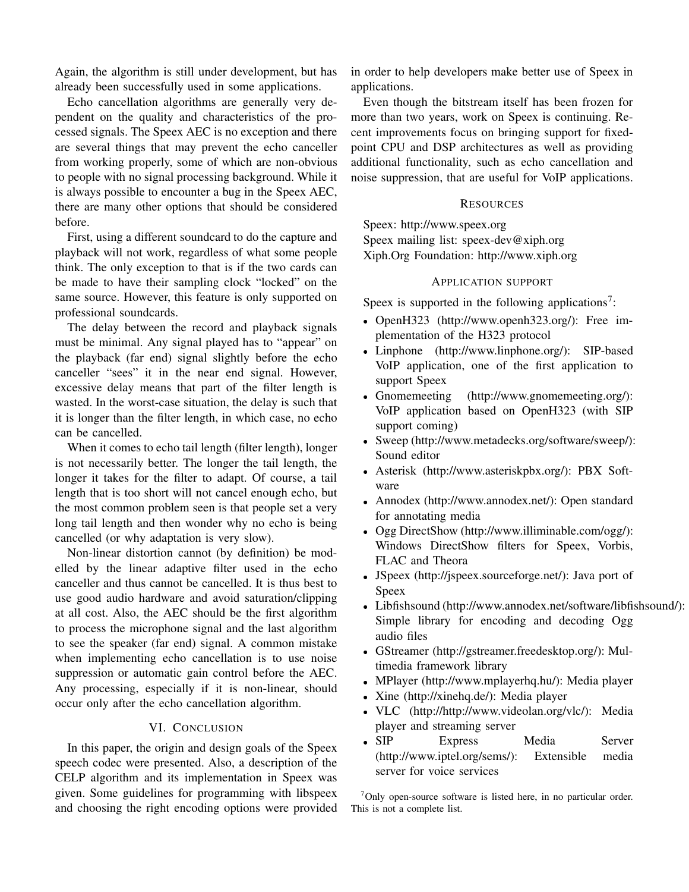Again, the algorithm is still under development, but has already been successfully used in some applications.

Echo cancellation algorithms are generally very dependent on the quality and characteristics of the processed signals. The Speex AEC is no exception and there are several things that may prevent the echo canceller from working properly, some of which are non-obvious to people with no signal processing background. While it is always possible to encounter a bug in the Speex AEC, there are many other options that should be considered before.

First, using a different soundcard to do the capture and playback will not work, regardless of what some people think. The only exception to that is if the two cards can be made to have their sampling clock "locked" on the same source. However, this feature is only supported on professional soundcards.

The delay between the record and playback signals must be minimal. Any signal played has to "appear" on the playback (far end) signal slightly before the echo canceller "sees" it in the near end signal. However, excessive delay means that part of the filter length is wasted. In the worst-case situation, the delay is such that it is longer than the filter length, in which case, no echo can be cancelled.

When it comes to echo tail length (filter length), longer is not necessarily better. The longer the tail length, the longer it takes for the filter to adapt. Of course, a tail length that is too short will not cancel enough echo, but the most common problem seen is that people set a very long tail length and then wonder why no echo is being cancelled (or why adaptation is very slow).

Non-linear distortion cannot (by definition) be modelled by the linear adaptive filter used in the echo canceller and thus cannot be cancelled. It is thus best to use good audio hardware and avoid saturation/clipping at all cost. Also, the AEC should be the first algorithm to process the microphone signal and the last algorithm to see the speaker (far end) signal. A common mistake when implementing echo cancellation is to use noise suppression or automatic gain control before the AEC. Any processing, especially if it is non-linear, should occur only after the echo cancellation algorithm.

# VI. CONCLUSION

In this paper, the origin and design goals of the Speex speech codec were presented. Also, a description of the CELP algorithm and its implementation in Speex was given. Some guidelines for programming with libspeex and choosing the right encoding options were provided in order to help developers make better use of Speex in applications.

Even though the bitstream itself has been frozen for more than two years, work on Speex is continuing. Recent improvements focus on bringing support for fixedpoint CPU and DSP architectures as well as providing additional functionality, such as echo cancellation and noise suppression, that are useful for VoIP applications.

## **RESOURCES**

Speex: http://www.speex.org Speex mailing list: speex-dev@xiph.org Xiph.Org Foundation: http://www.xiph.org

# APPLICATION SUPPORT

Speex is supported in the following applications<sup>7</sup>:

- OpenH323 (http://www.openh323.org/): Free implementation of the H323 protocol
- Linphone (http://www.linphone.org/): SIP-based VoIP application, one of the first application to support Speex
- Gnomemeeting (http://www.gnomemeeting.org/): VoIP application based on OpenH323 (with SIP support coming)
- Sweep (http://www.metadecks.org/software/sweep/): Sound editor
- Asterisk (http://www.asteriskpbx.org/): PBX Software
- Annodex (http://www.annodex.net/): Open standard for annotating media
- Ogg DirectShow (http://www.illiminable.com/ogg/): Windows DirectShow filters for Speex, Vorbis, FLAC and Theora
- JSpeex (http://jspeex.sourceforge.net/): Java port of Speex
- Libfishsound (http://www.annodex.net/software/libfishsound/): Simple library for encoding and decoding Ogg audio files
- GStreamer (http://gstreamer.freedesktop.org/): Multimedia framework library
- MPlayer (http://www.mplayerhq.hu/): Media player
- Xine (http://xinehq.de/): Media player
- VLC (http://http://www.videolan.org/vlc/): Media player and streaming server
- $\bullet$  SIP Express Media Server (http://www.iptel.org/sems/): Extensible media server for voice services

 $7$ Only open-source software is listed here, in no particular order. This is not a complete list.